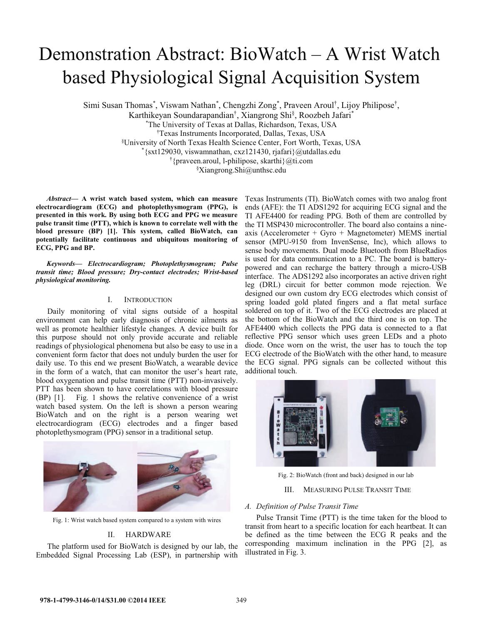# Demonstration Abstract:  $Biowatch - A Wrist Watch$ based Physiological Signal Acquisition System

Simi Susan Thomas\*, Viswam Nathan\*, Chengzhi Zong\*, Praveen Aroul<sup>†</sup>, Lijoy Philipose<sup>†</sup>,

Karthikeyan Soundarapandian<sup>†</sup>, Xiangrong Shi<sup>§</sup>, Roozbeh Jafari<sup>\*</sup>

\* The University of Texas at Dallas, Richardson, Texas, USA

Texas Instruments Incorporated, Dallas, Texas, USA

§ University of North Texas Health Science Center, Fort Worth, Texas, USA \*

 $*$ {sxt129030, viswamnathan, cxz121430, rjafari}@utdallas.edu

{praveen.aroul, l-philipose, skarthi}@ti.com

§ Xiangrong.Shi@unthsc.edu

*Abstract***² A wrist watch based system, which can measure electrocardiogram (ECG) and photoplethysmogram (PPG), is presented in this work. By using both ECG and PPG we measure pulse transit time (PTT), which is known to correlate well with the blood pressure (BP) [1]. This system, called BioWatch, can potentially facilitate continuous and ubiquitous monitoring of ECG, PPG and BP.**

*Keywords² Electrocardiogram; Photoplethysmogram; Pulse transit time; Blood pressure; Dry-contact electrodes; Wrist-based physiological monitoring.* 

#### I. INTRODUCTION

Daily monitoring of vital signs outside of a hospital environment can help early diagnosis of chronic ailments as well as promote healthier lifestyle changes. A device built for this purpose should not only provide accurate and reliable readings of physiological phenomena but also be easy to use in a convenient form factor that does not unduly burden the user for daily use. To this end we present BioWatch, a wearable device in the form of a watch, that can monitor the user's heart rate, blood oxygenation and pulse transit time (PTT) non-invasively. PTT has been shown to have correlations with blood pressure (BP) [1]. Fig. 1 shows the relative convenience of a wrist watch based system. On the left is shown a person wearing BioWatch and on the right is a person wearing wet electrocardiogram (ECG) electrodes and a finger based photoplethysmogram (PPG) sensor in a traditional setup.



Fig. 1: Wrist watch based system compared to a system with wires

## II. HARDWARE

The platform used for BioWatch is designed by our lab, the Embedded Signal Processing Lab (ESP), in partnership with Texas Instruments (TI). BioWatch comes with two analog front ends (AFE): the TI ADS1292 for acquiring ECG signal and the TI AFE4400 for reading PPG. Both of them are controlled by the TI MSP430 microcontroller. The board also contains a nineaxis (Accelerometer + Gyro + Magnetometer) MEMS inertial sensor (MPU-9150 from InvenSense, Inc), which allows to sense body movements. Dual mode Bluetooth from BlueRadios is used for data communication to a PC. The board is batterypowered and can recharge the battery through a micro-USB interface. The ADS1292 also incorporates an active driven right leg (DRL) circuit for better common mode rejection. We designed our own custom dry ECG electrodes which consist of spring loaded gold plated fingers and a flat metal surface soldered on top of it. Two of the ECG electrodes are placed at the bottom of the BioWatch and the third one is on top. The AFE4400 which collects the PPG data is connected to a flat reflective PPG sensor which uses green LEDs and a photo diode. Once worn on the wrist, the user has to touch the top ECG electrode of the BioWatch with the other hand, to measure the ECG signal. PPG signals can be collected without this additional touch.



Fig. 2: BioWatch (front and back) designed in our lab

# III. MEASURING PULSE TRANSIT TIME

## *A. Definition of Pulse Transit Time*

Pulse Transit Time (PTT) is the time taken for the blood to transit from heart to a specific location for each heartbeat. It can be defined as the time between the ECG R peaks and the corresponding maximum inclination in the PPG [2], as illustrated in Fig. 3.